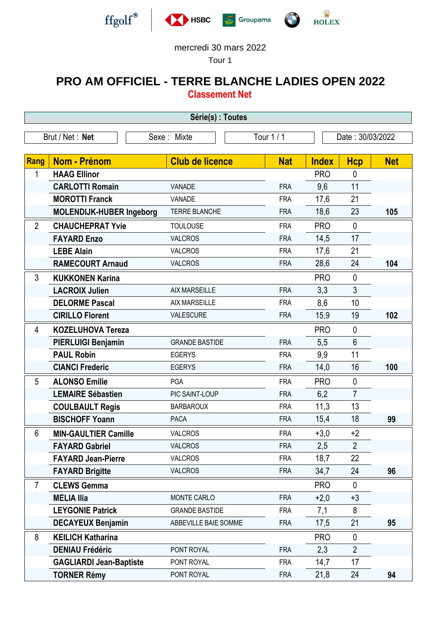

-

-

-

-







## mercredi 30 mars 2022

Tour 1

## **PRO AM OFFICIEL - TERRE BLANCHE LADIES OPEN 2022 Classement Net**

**Série(s) : Toutes** Brut / Net : **Net** Sexe : Mixte Tour 1 / 1 Date : 30/03/2022 **Rang Nom - Prénom Club de licence Nat Index Hcp Net** 1 **HAAG Ellinor** PRO 0 **CARLOTTI Romain VANADE FRA** 9.6 11 **MOROTTI Franck** VANADE VANADE FRA 17.6 21 **MOLENDIJK-HUBER Ingeborg** TERRE BLANCHE FRA 18,6 23 **105** 2 **CHAUCHEPRAT Yvie** TOULOUSE FRA PRO 0 **FAYARD Enzo** VALCROS FRA 14.5 17 **LEBE Alain VALCROS FRA** 17,6 21 **RAMECOURT Arnaud** VALCROS FRA 28.6 24 **104** 3 **KUKKONEN Karina** PRO 0 **LACROIX Julien** AIX MARSEILLE FRA 3.3 3 **DELORME Pascal** AIX MARSEILLE FRA 8,6 10 **CIRILLO Florent** VALESCURE FRA 15,9 19 **102** 4 **KOZELUHOVA Tereza** PRO 0 **PIERLUIGI Benjamin** GRANDE BASTIDE FRA 5,5 6 **PAUL Robin EGERYS EGERYS FRA** 9.9 11 **CIANCI Frederic** EGERYS EGERYS FRA 14.0 16 100 5 **ALONSO Emilie** PGA FRA PRO 0 **LEMAIRE Sébastien** PIC SAINT-LOUP FRA 6,2 7 **COULBAULT Regis** BARBAROUX FRA 11,3 13 **BISCHOFF Yoann** PACA FRA 15,4 18 **99** 6 **MIN-GAULTIER Camille** VALCROS FRA +3,0 +2 **FAYARD Gabriel** VALCROS FRA 2.5 2 **FAYARD Jean-Pierre** VALCROS FRA 18,7 22 **FAYARD Brigitte** VALCROS FRA 34,7 24 **96** 7 **CLEWS Gemma** PRO 0 **MELIA IIia** MONTE CARLO FRA +2.0 +3 **LEYGONIE Patrick** GRANDE BASTIDE FRA 7,1 8 **DECAYEUX Benjamin** ABBEVILLE BAIE SOMME FRA 17,5 21 **95** 8 **KEILICH Katharina PRO** 0 **DENIAU Frédéric PONT ROYAL FRA** 2.3 2 GAGLIARDI Jean-Baptiste PONT ROYAL FRA 14,7 17 **TORNER Rémy** PONT ROYAL FRA 21,8 24 **94**